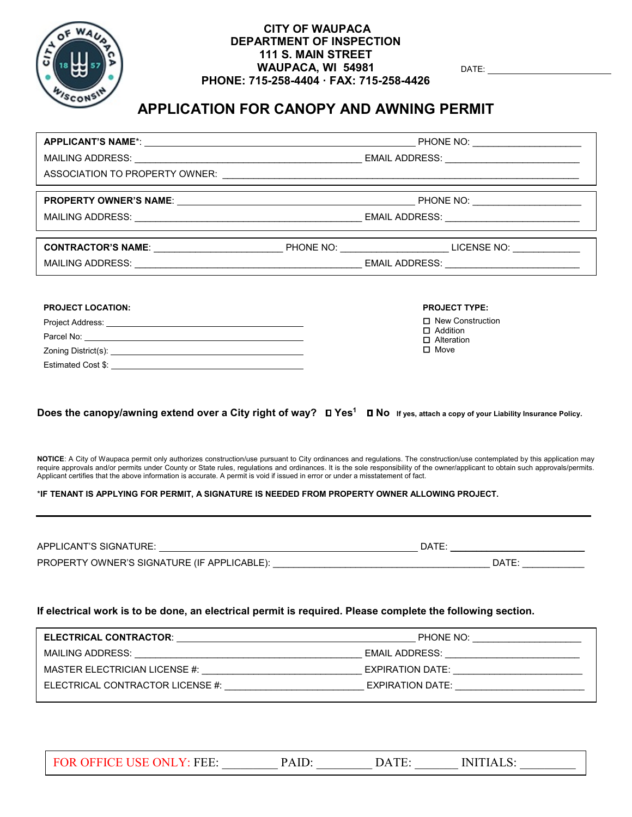

# **CITY OF WAUPACA CANOPY AND AWNING PERMIT GUIDE**

Apply for the Permit

Please plan ahead when applying for your permit. We suggest that you apply for the permit a minimum of 2 weeks prior to your start date.

Make sure all of the required information is included and submit to the Department by email: cedinfo@cityofwaupaca.org